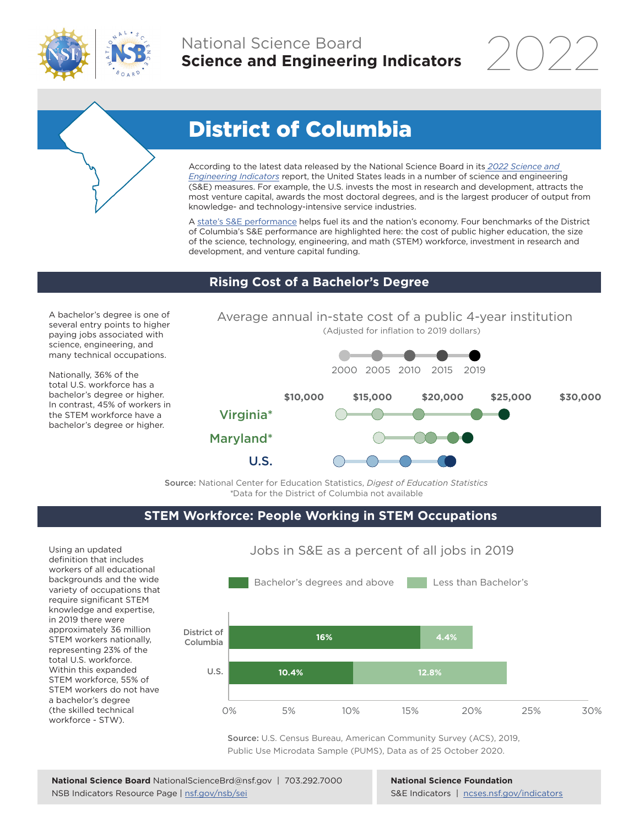

## National Science Board **Science and Engineering Indicators**

2022



# District of Columbia

According to the latest data released by the National Science Board in its *[2022 Science and](https://www.ncses.nsf.gov/indicators)  [Engineering Indicators](https://www.ncses.nsf.gov/indicators)* report, the United States leads in a number of science and engineering (S&E) measures. For example, the U.S. invests the most in research and development, attracts the most venture capital, awards the most doctoral degrees, and is the largest producer of output from knowledge- and technology-intensive service industries.

A state's S&E performance helps fuel its and the nation's economy. Four benchmarks of the District of Columbia's S&E performance are highlighted here: the cost of public higher education, the size of the science, technology, engineering, and math (STEM) workforce, investment in research and development, and venture capital funding.

## **Rising Cost of a Bachelor's Degree**

A bachelor's degree is one of several entry points to higher paying jobs associated with science, engineering, and many technical occupations.

Nationally, 36% of the total U.S. workforce has a bachelor's degree or higher. In contrast, 45% of workers in the STEM workforce have a bachelor's degree or higher.





Source: National Center for Education Statistics, *Digest of Education Statistics \**Data for the District of Columbia not available

## **STEM Workforce: People Working in STEM Occupations**

Using an updated definition that includes workers of all educational backgrounds and the wide variety of occupations that require significant STEM knowledge and expertise, in 2019 there were approximately 36 million STEM workers nationally, representing 23% of the total U.S. workforce. Within this expanded STEM workforce, 55% of STEM workers do not have a bachelor's degree (the skilled technical workforce - STW).



Jobs in S&E as a percent of all jobs in 2019

Source: U.S. Census Bureau, American Community Survey (ACS), 2019, Public Use Microdata Sample (PUMS), Data as of 25 October 2020.

#### **National Science Foundation** S&E Indicators | [ncses.nsf.gov/indicators](https://www.ncses.nsf.gov/indicators)